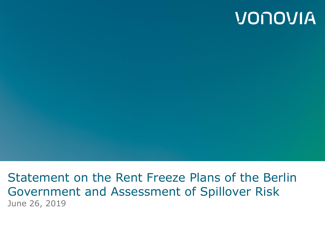## VONOVIA

Statement on the Rent Freeze Plans of the Berlin Government and Assessment of Spillover Risk June 26, 2019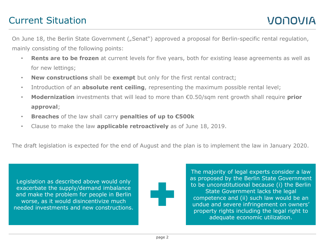## Current Situation

On June 18, the Berlin State Government ("Senat") approved a proposal for Berlin-specific rental regulation, mainly consisting of the following points:

- **Rents are to be frozen** at current levels for five years, both for existing lease agreements as well as for new lettings;
- **New constructions** shall be **exempt** but only for the first rental contract;
- Introduction of an **absolute rent ceiling**, representing the maximum possible rental level;
- **Modernization** investments that will lead to more than €0.50/sqm rent growth shall require **prior approval**;
- **Breaches** of the law shall carry **penalties of up to €500k**
- Clause to make the law **applicable retroactively** as of June 18, 2019.

The draft legislation is expected for the end of August and the plan is to implement the law in January 2020.

Legislation as described above would only exacerbate the supply/demand imbalance and make the problem for people in Berlin worse, as it would disincentivize much needed investments and new constructions. The majority of legal experts consider a law as proposed by the Berlin State Government to be unconstitutional because (i) the Berlin State Government lacks the legal competence and (ii) such law would be an undue and severe infringement on owners' property rights including the legal right to adequate economic utilization.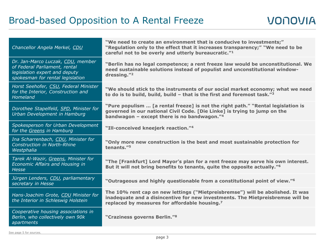| Chancellor Angela Merkel, CDU                                                                                                           | "We need to create an environment that is conducive to investments;"<br>"Regulation only to the effect that it increases transparency;" "We need to be<br>careful not to be overly and utterly bureaucratic." <sup>1</sup>    |  |  |
|-----------------------------------------------------------------------------------------------------------------------------------------|-------------------------------------------------------------------------------------------------------------------------------------------------------------------------------------------------------------------------------|--|--|
| Dr. Jan-Marco Luczak, CDU, member<br>of Federal Parliament, rental<br>legislation expert and deputy<br>spokesman for rental legislation | "Berlin has no legal competence; a rent freeze law would be unconstitutional. We<br>need sustainable solutions instead of populist and unconstitutional window-<br>dressing."2                                                |  |  |
| Horst Seehofer, CSU, Federal Minister<br>for the Interior, Construction and<br>Homeland                                                 | "We should stick to the instruments of our social market economy; what we need<br>to do is to build, build, build - that is the first and foremost task." $3$                                                                 |  |  |
| Dorothee Stapelfeld, SPD, Minister for<br>Urban Development in Hamburg                                                                  | "Pure populism  [a rental freeze] is not the right path." "Rental legislation is<br>governed in our national Civil Code. [Die Linke] is trying to jump on the<br>bandwagon $-$ except there is no bandwagon." $4$             |  |  |
| Spokesperson for Urban Development<br>for the Greens in Hamburg                                                                         | "Ill-conceived kneejerk reaction."4                                                                                                                                                                                           |  |  |
| Ina Scharrenbach, CDU, Minister for<br><b>Construction in North-Rhine</b><br>Westphalia                                                 | "Only more new construction is the best and most sustainable protection for<br>tenants." <sup>5</sup>                                                                                                                         |  |  |
| Tarek Al-Wazir, Greens, Minister for<br>Economic Affairs and Housing in<br><b>Hesse</b>                                                 | "The [Frankfurt] Lord Mayor's plan for a rent freeze may serve his own interest.<br>But it will not bring benefits to tenants, quite the opposite actually." <sup>6</sup>                                                     |  |  |
| Jürgen Lenders, CDU, parliamentary<br>secretary in Hesse                                                                                | "Outrageous and highly questionable from a constitutional point of view." <sup>6</sup>                                                                                                                                        |  |  |
| Hans-Joachim Grote, CDU Minister for<br>the Interior in Schleswig Holstein                                                              | The 10% rent cap on new lettings ("Mietpreisbremse") will be abolished. It was<br>inadequate and a disincentive for new investments. The Mietpreisbremse will be<br>replaced by measures for affordable housing. <sup>7</sup> |  |  |
| Cooperative housing associations in<br>Berlin, who collectively own 90k<br>apartments                                                   | "Craziness governs Berlin." <sup>8</sup>                                                                                                                                                                                      |  |  |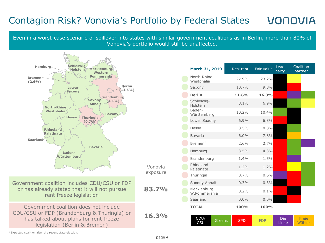## Contagion Risk? Vonovia's Portfolio by Federal States VONOVIA

Even in a worst-case scenario of spillover into states with similar government coalitions as in Berlin, more than 80% of Vonovia's portfolio would still be unaffected.



| March 31, 2019               | Resi rent  | Fair value | Lead<br>party       | Coalition<br>partner |
|------------------------------|------------|------------|---------------------|----------------------|
| North-Rhine<br>Westphalia    | 27.9%      | 23.2%      |                     |                      |
| Saxony                       | 10.7%      | 9.8%       |                     |                      |
| <b>Berlin</b>                | 11.6%      | 16.3%      |                     |                      |
| Schleswig-<br>Holstein       | $8.1\%$    | 6.9%       |                     |                      |
| Baden-<br>Württemberg        | 10.2%      | 10.4%      |                     |                      |
| Lower Saxony                 | 6.9%       | 6.3%       |                     |                      |
| Hesse                        | 8.5%       | 8.8%       |                     |                      |
| Bavaria                      | 6.0%       | 7.8%       |                     |                      |
| $B$ remen $1$                | 2.6%       | 2.7%       |                     |                      |
| Hamburg                      | 3.5%       | 4.3%       |                     |                      |
| Brandenburg                  | 1.4%       | 1.5%       |                     |                      |
| Rhineland<br>Palatinate      | 1.2%       | 1.2%       |                     |                      |
| Thuringia                    | 0.7%       | 0.6%       |                     |                      |
| Saxony Anhalt                | 0.3%       | 0.3%       |                     |                      |
| Mecklenburg<br>W.Pommerania  | 0.2%       | 0.1%       |                     |                      |
| Saarland                     | 0.0%       | $0.0\%$    |                     |                      |
| <b>TOTAL</b>                 | 100%       | 100%       |                     |                      |
| CDU/<br><b>Greens</b><br>CSU | <b>SPD</b> | <b>FDP</b> | <b>Die</b><br>Linke | Freie<br>Wähler      |

<sup>1</sup> Expected coalition after the recent state election.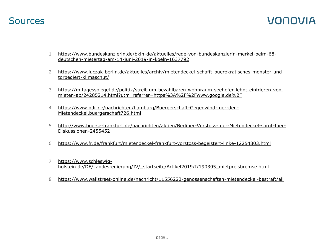- 1 [https://www.bundeskanzlerin.de/bkin-de/aktuelles/rede-von-bundeskanzlerin-merkel-beim-68](https://www.bundeskanzlerin.de/bkin-de/aktuelles/rede-von-bundeskanzlerin-merkel-beim-68-deutschen-mietertag-am-14-juni-2019-in-koeln-1637792) [deutschen-mietertag-am-14-juni-2019-in-koeln-1637792](https://www.bundeskanzlerin.de/bkin-de/aktuelles/rede-von-bundeskanzlerin-merkel-beim-68-deutschen-mietertag-am-14-juni-2019-in-koeln-1637792)
- 2 [https://www.luczak-berlin.de/aktuelles/archiv/mietendeckel-schafft-buerokratisches-monster-und](https://www.luczak-berlin.de/aktuelles/archiv/mietendeckel-schafft-buerokratisches-monster-und-torpediert-klimaschut/)[torpediert-klimaschut/](https://www.luczak-berlin.de/aktuelles/archiv/mietendeckel-schafft-buerokratisches-monster-und-torpediert-klimaschut/)
- 3 [https://m.tagesspiegel.de/politik/streit-um-bezahlbaren-wohnraum-seehofer-lehnt-einfrieren-von](https://m.tagesspiegel.de/politik/streit-um-bezahlbaren-wohnraum-seehofer-lehnt-einfrieren-von-mieten-ab/24285214.html?utm_referrer=https://www.google.de/)[mieten-ab/24285214.html?utm\\_referrer=https%3A%2F%2Fwww.google.de%2F](https://m.tagesspiegel.de/politik/streit-um-bezahlbaren-wohnraum-seehofer-lehnt-einfrieren-von-mieten-ab/24285214.html?utm_referrer=https://www.google.de/)
- 4 [https://www.ndr.de/nachrichten/hamburg/Buergerschaft-Gegenwind-fuer-den-](https://www.ndr.de/nachrichten/hamburg/Buergerschaft-Gegenwind-fuer-den-Mietendeckel,buergerschaft726.html)[Mietendeckel,buergerschaft726.html](https://www.ndr.de/nachrichten/hamburg/Buergerschaft-Gegenwind-fuer-den-Mietendeckel,buergerschaft726.html)
- 5 [http://www.boerse-frankfurt.de/nachrichten/aktien/Berliner-Vorstoss-fuer-Mietendeckel-sorgt-fuer-](http://www.boerse-frankfurt.de/nachrichten/aktien/Berliner-Vorstoss-fuer-Mietendeckel-sorgt-fuer-Diskussionen-2455452)[Diskussionen-2455452](http://www.boerse-frankfurt.de/nachrichten/aktien/Berliner-Vorstoss-fuer-Mietendeckel-sorgt-fuer-Diskussionen-2455452)
- 6 <https://www.fr.de/frankfurt/mietendeckel-frankfurt-vorstoss-begeistert-linke-12254803.html>
- 7 [https://www.schleswig](https://www.schleswig-holstein.de/DE/Landesregierung/IV/_startseite/Artikel2019/I/190305_mietpreisbremse.html)[holstein.de/DE/Landesregierung/IV/\\_startseite/Artikel2019/I/190305\\_mietpreisbremse.html](https://www.schleswig-holstein.de/DE/Landesregierung/IV/_startseite/Artikel2019/I/190305_mietpreisbremse.html)
- 8 <https://www.wallstreet-online.de/nachricht/11556222-genossenschaften-mietendeckel-bestraft/all>